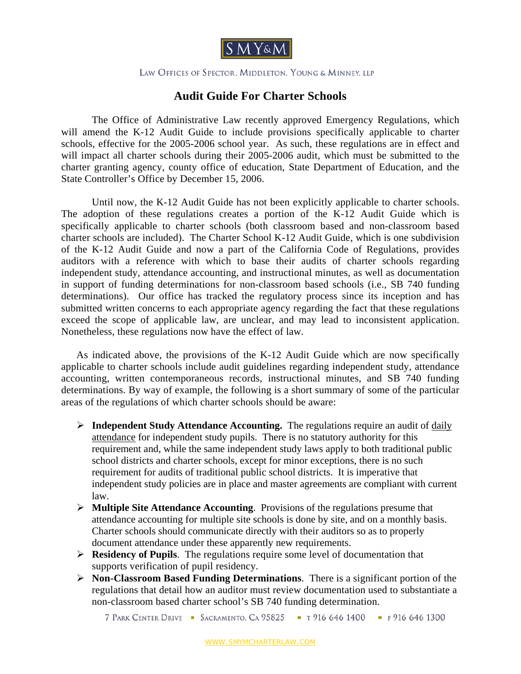

## LAW OFFICES OF SPECTOR, MIDDLETON, YOUNG & MINNEY, LLP

## **Audit Guide For Charter Schools**

The Office of Administrative Law recently approved Emergency Regulations, which will amend the K-12 Audit Guide to include provisions specifically applicable to charter schools, effective for the 2005-2006 school year. As such, these regulations are in effect and will impact all charter schools during their 2005-2006 audit, which must be submitted to the charter granting agency, county office of education, State Department of Education, and the State Controller's Office by December 15, 2006.

Until now, the K-12 Audit Guide has not been explicitly applicable to charter schools. The adoption of these regulations creates a portion of the K-12 Audit Guide which is specifically applicable to charter schools (both classroom based and non-classroom based charter schools are included). The Charter School K-12 Audit Guide, which is one subdivision of the K-12 Audit Guide and now a part of the California Code of Regulations, provides auditors with a reference with which to base their audits of charter schools regarding independent study, attendance accounting, and instructional minutes, as well as documentation in support of funding determinations for non-classroom based schools (i.e., SB 740 funding determinations). Our office has tracked the regulatory process since its inception and has submitted written concerns to each appropriate agency regarding the fact that these regulations exceed the scope of applicable law, are unclear, and may lead to inconsistent application. Nonetheless, these regulations now have the effect of law.

As indicated above, the provisions of the K-12 Audit Guide which are now specifically applicable to charter schools include audit guidelines regarding independent study, attendance accounting, written contemporaneous records, instructional minutes, and SB 740 funding determinations. By way of example, the following is a short summary of some of the particular areas of the regulations of which charter schools should be aware:

- ¾ **Independent Study Attendance Accounting.** The regulations require an audit of daily attendance for independent study pupils. There is no statutory authority for this requirement and, while the same independent study laws apply to both traditional public school districts and charter schools, except for minor exceptions, there is no such requirement for audits of traditional public school districts. It is imperative that independent study policies are in place and master agreements are compliant with current law.
- ¾ **Multiple Site Attendance Accounting**. Provisions of the regulations presume that attendance accounting for multiple site schools is done by site, and on a monthly basis. Charter schools should communicate directly with their auditors so as to properly document attendance under these apparently new requirements.
- ¾ **Residency of Pupils**. The regulations require some level of documentation that supports verification of pupil residency.
- ¾ **Non-Classroom Based Funding Determinations**. There is a significant portion of the regulations that detail how an auditor must review documentation used to substantiate a non-classroom based charter school's SB 740 funding determination.

7 PARK CENTER DRIVE - SACRAMENTO, CA 95825 - T 916 646 1400 - F 916 646 1300